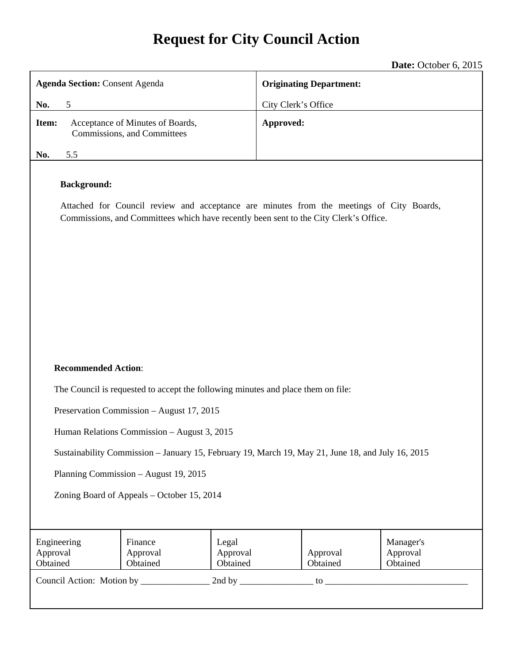# **Request for City Council Action**

|                                                                                                                                                                                                         | Date: October 6, 2015          |  |
|---------------------------------------------------------------------------------------------------------------------------------------------------------------------------------------------------------|--------------------------------|--|
| <b>Agenda Section: Consent Agenda</b>                                                                                                                                                                   | <b>Originating Department:</b> |  |
| No.<br>5                                                                                                                                                                                                | City Clerk's Office            |  |
| Acceptance of Minutes of Boards,<br>Item:<br>Commissions, and Committees                                                                                                                                | Approved:                      |  |
| No.<br>5.5                                                                                                                                                                                              |                                |  |
| <b>Background:</b><br>Attached for Council review and acceptance are minutes from the meetings of City Boards,<br>Commissions, and Committees which have recently been sent to the City Clerk's Office. |                                |  |
| <b>Recommended Action:</b>                                                                                                                                                                              |                                |  |
| The Council is requested to accept the following minutes and place them on file:                                                                                                                        |                                |  |
| Preservation Commission - August 17, 2015                                                                                                                                                               |                                |  |
| Human Relations Commission - August 3, 2015                                                                                                                                                             |                                |  |
| Sustainability Commission – January 15, February 19, March 19, May 21, June 18, and July 16, 2015                                                                                                       |                                |  |
| Planning Commission - August 19, 2015                                                                                                                                                                   |                                |  |

Zoning Board of Appeals – October 15, 2014

| Engineering<br>Approval<br>Obtained | Finance<br>Approval<br>Obtained | Legal<br>Approval<br>Obtained | Approval<br>Obtained | Manager's<br>Approval<br>Obtained |
|-------------------------------------|---------------------------------|-------------------------------|----------------------|-----------------------------------|
| Council Action: Motion by           |                                 | 2nd by                        | tΩ                   |                                   |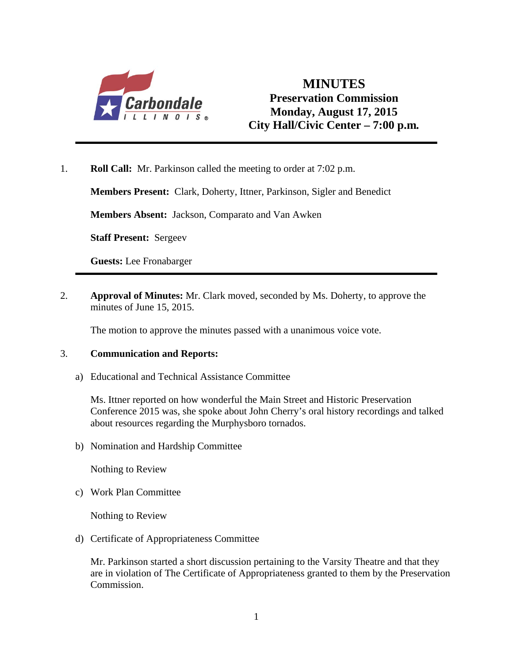

## **MINUTES Preservation Commission Monday, August 17, 2015 City Hall/Civic Center – 7:00 p.m***.*

1. **Roll Call:** Mr. Parkinson called the meeting to order at 7:02 p.m.

**Members Present:** Clark, Doherty, Ittner, Parkinson, Sigler and Benedict

**Members Absent:** Jackson, Comparato and Van Awken

**Staff Present:** Sergeev

**Guests:** Lee Fronabarger

2. **Approval of Minutes:** Mr. Clark moved, seconded by Ms. Doherty, to approve the minutes of June 15, 2015.

The motion to approve the minutes passed with a unanimous voice vote.

#### 3. **Communication and Reports:**

a) Educational and Technical Assistance Committee

 Ms. Ittner reported on how wonderful the Main Street and Historic Preservation Conference 2015 was, she spoke about John Cherry's oral history recordings and talked about resources regarding the Murphysboro tornados.

b) Nomination and Hardship Committee

Nothing to Review

c) Work Plan Committee

Nothing to Review

d) Certificate of Appropriateness Committee

Mr. Parkinson started a short discussion pertaining to the Varsity Theatre and that they are in violation of The Certificate of Appropriateness granted to them by the Preservation Commission.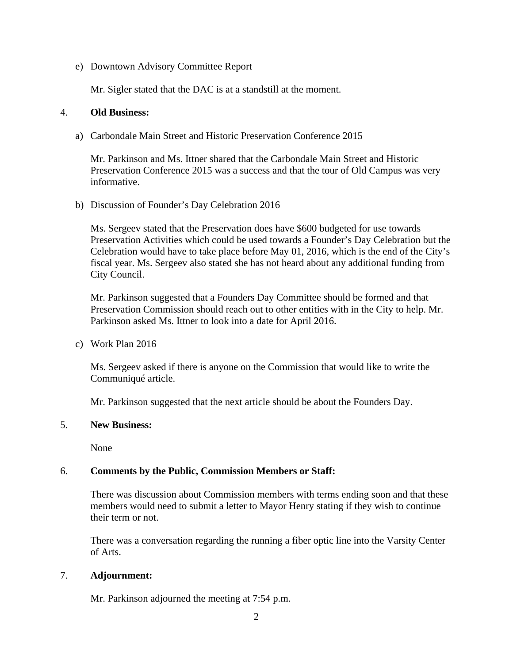e) Downtown Advisory Committee Report

Mr. Sigler stated that the DAC is at a standstill at the moment.

#### 4. **Old Business:**

a) Carbondale Main Street and Historic Preservation Conference 2015

Mr. Parkinson and Ms. Ittner shared that the Carbondale Main Street and Historic Preservation Conference 2015 was a success and that the tour of Old Campus was very informative.

b) Discussion of Founder's Day Celebration 2016

Ms. Sergeev stated that the Preservation does have \$600 budgeted for use towards Preservation Activities which could be used towards a Founder's Day Celebration but the Celebration would have to take place before May 01, 2016, which is the end of the City's fiscal year. Ms. Sergeev also stated she has not heard about any additional funding from City Council.

Mr. Parkinson suggested that a Founders Day Committee should be formed and that Preservation Commission should reach out to other entities with in the City to help. Mr. Parkinson asked Ms. Ittner to look into a date for April 2016.

c) Work Plan 2016

Ms. Sergeev asked if there is anyone on the Commission that would like to write the Communiqué article.

Mr. Parkinson suggested that the next article should be about the Founders Day.

#### 5. **New Business:**

None

#### 6. **Comments by the Public, Commission Members or Staff:**

There was discussion about Commission members with terms ending soon and that these members would need to submit a letter to Mayor Henry stating if they wish to continue their term or not.

There was a conversation regarding the running a fiber optic line into the Varsity Center of Arts.

#### 7. **Adjournment:**

Mr. Parkinson adjourned the meeting at 7:54 p.m.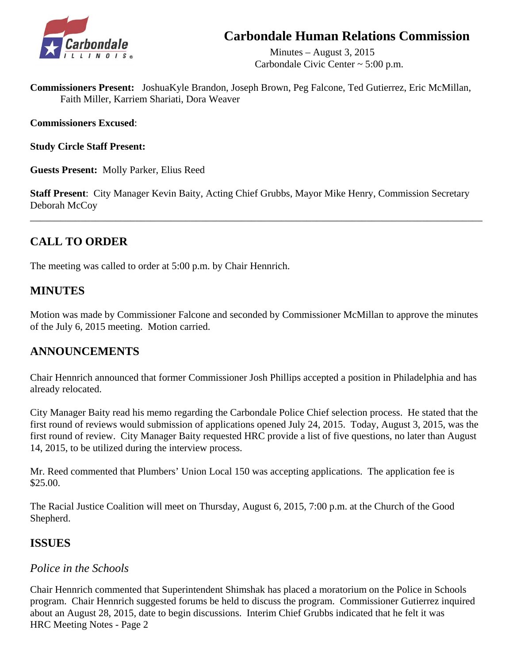## **Carbondale Human Relations Commission**



 Minutes – August 3, 2015 Carbondale Civic Center ~ 5:00 p.m.

**Commissioners Present:** JoshuaKyle Brandon, Joseph Brown, Peg Falcone, Ted Gutierrez, Eric McMillan, Faith Miller, Karriem Shariati, Dora Weaver

**Commissioners Excused**:

**Study Circle Staff Present:** 

**Guests Present:** Molly Parker, Elius Reed

**Staff Present**: City Manager Kevin Baity, Acting Chief Grubbs, Mayor Mike Henry, Commission Secretary Deborah McCoy

\_\_\_\_\_\_\_\_\_\_\_\_\_\_\_\_\_\_\_\_\_\_\_\_\_\_\_\_\_\_\_\_\_\_\_\_\_\_\_\_\_\_\_\_\_\_\_\_\_\_\_\_\_\_\_\_\_\_\_\_\_\_\_\_\_\_\_\_\_\_\_\_\_\_\_\_\_\_\_\_\_\_\_\_\_\_\_\_\_\_

## **CALL TO ORDER**

The meeting was called to order at 5:00 p.m. by Chair Hennrich.

### **MINUTES**

Motion was made by Commissioner Falcone and seconded by Commissioner McMillan to approve the minutes of the July 6, 2015 meeting. Motion carried.

### **ANNOUNCEMENTS**

Chair Hennrich announced that former Commissioner Josh Phillips accepted a position in Philadelphia and has already relocated.

City Manager Baity read his memo regarding the Carbondale Police Chief selection process. He stated that the first round of reviews would submission of applications opened July 24, 2015. Today, August 3, 2015, was the first round of review. City Manager Baity requested HRC provide a list of five questions, no later than August 14, 2015, to be utilized during the interview process.

Mr. Reed commented that Plumbers' Union Local 150 was accepting applications. The application fee is \$25.00.

The Racial Justice Coalition will meet on Thursday, August 6, 2015, 7:00 p.m. at the Church of the Good Shepherd.

### **ISSUES**

### *Police in the Schools*

Chair Hennrich commented that Superintendent Shimshak has placed a moratorium on the Police in Schools program. Chair Hennrich suggested forums be held to discuss the program. Commissioner Gutierrez inquired about an August 28, 2015, date to begin discussions. Interim Chief Grubbs indicated that he felt it was HRC Meeting Notes - Page 2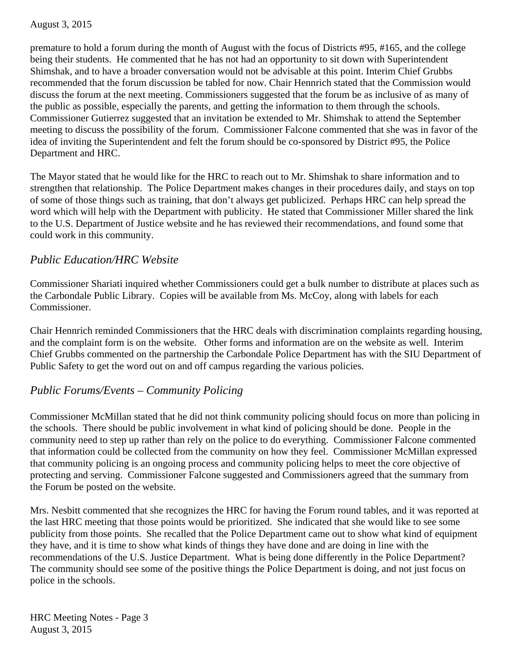premature to hold a forum during the month of August with the focus of Districts #95, #165, and the college being their students. He commented that he has not had an opportunity to sit down with Superintendent Shimshak, and to have a broader conversation would not be advisable at this point. Interim Chief Grubbs recommended that the forum discussion be tabled for now. Chair Hennrich stated that the Commission would discuss the forum at the next meeting. Commissioners suggested that the forum be as inclusive of as many of the public as possible, especially the parents, and getting the information to them through the schools. Commissioner Gutierrez suggested that an invitation be extended to Mr. Shimshak to attend the September meeting to discuss the possibility of the forum. Commissioner Falcone commented that she was in favor of the idea of inviting the Superintendent and felt the forum should be co-sponsored by District #95, the Police Department and HRC.

The Mayor stated that he would like for the HRC to reach out to Mr. Shimshak to share information and to strengthen that relationship. The Police Department makes changes in their procedures daily, and stays on top of some of those things such as training, that don't always get publicized. Perhaps HRC can help spread the word which will help with the Department with publicity. He stated that Commissioner Miller shared the link to the U.S. Department of Justice website and he has reviewed their recommendations, and found some that could work in this community.

### *Public Education/HRC Website*

 Commissioner Shariati inquired whether Commissioners could get a bulk number to distribute at places such as the Carbondale Public Library. Copies will be available from Ms. McCoy, along with labels for each Commissioner.

 Chair Hennrich reminded Commissioners that the HRC deals with discrimination complaints regarding housing, and the complaint form is on the website. Other forms and information are on the website as well. Interim Chief Grubbs commented on the partnership the Carbondale Police Department has with the SIU Department of Public Safety to get the word out on and off campus regarding the various policies.

## *Public Forums/Events – Community Policing*

Commissioner McMillan stated that he did not think community policing should focus on more than policing in the schools. There should be public involvement in what kind of policing should be done. People in the community need to step up rather than rely on the police to do everything. Commissioner Falcone commented that information could be collected from the community on how they feel. Commissioner McMillan expressed that community policing is an ongoing process and community policing helps to meet the core objective of protecting and serving. Commissioner Falcone suggested and Commissioners agreed that the summary from the Forum be posted on the website.

Mrs. Nesbitt commented that she recognizes the HRC for having the Forum round tables, and it was reported at the last HRC meeting that those points would be prioritized. She indicated that she would like to see some publicity from those points. She recalled that the Police Department came out to show what kind of equipment they have, and it is time to show what kinds of things they have done and are doing in line with the recommendations of the U.S. Justice Department. What is being done differently in the Police Department? The community should see some of the positive things the Police Department is doing, and not just focus on police in the schools.

HRC Meeting Notes - Page 3 August 3, 2015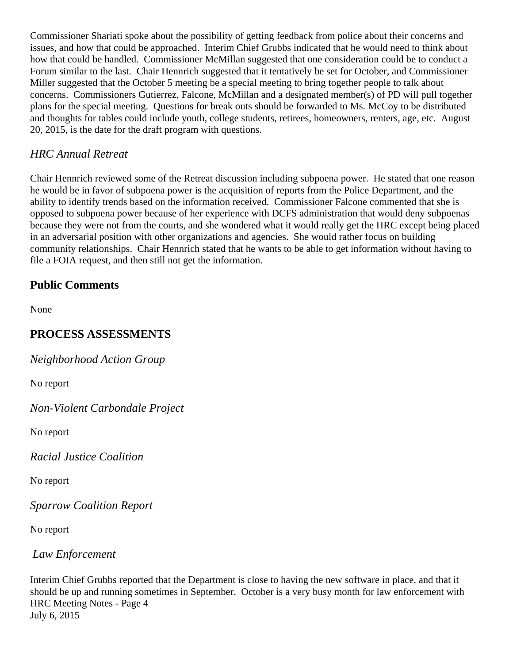Commissioner Shariati spoke about the possibility of getting feedback from police about their concerns and issues, and how that could be approached. Interim Chief Grubbs indicated that he would need to think about how that could be handled. Commissioner McMillan suggested that one consideration could be to conduct a Forum similar to the last. Chair Hennrich suggested that it tentatively be set for October, and Commissioner Miller suggested that the October 5 meeting be a special meeting to bring together people to talk about concerns. Commissioners Gutierrez, Falcone, McMillan and a designated member(s) of PD will pull together plans for the special meeting. Questions for break outs should be forwarded to Ms. McCoy to be distributed and thoughts for tables could include youth, college students, retirees, homeowners, renters, age, etc. August 20, 2015, is the date for the draft program with questions.

### *HRC Annual Retreat*

 Chair Hennrich reviewed some of the Retreat discussion including subpoena power. He stated that one reason he would be in favor of subpoena power is the acquisition of reports from the Police Department, and the ability to identify trends based on the information received. Commissioner Falcone commented that she is opposed to subpoena power because of her experience with DCFS administration that would deny subpoenas because they were not from the courts, and she wondered what it would really get the HRC except being placed in an adversarial position with other organizations and agencies. She would rather focus on building community relationships. Chair Hennrich stated that he wants to be able to get information without having to file a FOIA request, and then still not get the information.

## **Public Comments**

None

## **PROCESS ASSESSMENTS**

*Neighborhood Action Group* 

No report

*Non-Violent Carbondale Project* 

No report

*Racial Justice Coalition* 

No report

*Sparrow Coalition Report* 

No report

*Law Enforcement* 

Interim Chief Grubbs reported that the Department is close to having the new software in place, and that it should be up and running sometimes in September. October is a very busy month for law enforcement with HRC Meeting Notes - Page 4 July 6, 2015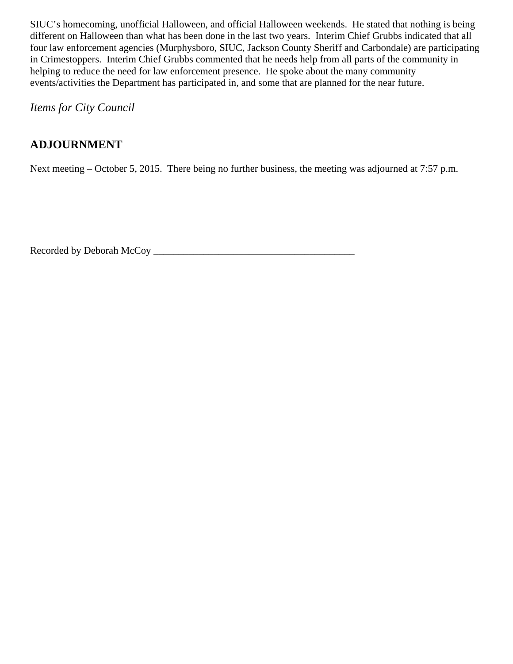SIUC's homecoming, unofficial Halloween, and official Halloween weekends. He stated that nothing is being different on Halloween than what has been done in the last two years. Interim Chief Grubbs indicated that all four law enforcement agencies (Murphysboro, SIUC, Jackson County Sheriff and Carbondale) are participating in Crimestoppers. Interim Chief Grubbs commented that he needs help from all parts of the community in helping to reduce the need for law enforcement presence. He spoke about the many community events/activities the Department has participated in, and some that are planned for the near future.

*Items for City Council* 

## **ADJOURNMENT**

Next meeting – October 5, 2015. There being no further business, the meeting was adjourned at 7:57 p.m.

Recorded by Deborah McCoy \_\_\_\_\_\_\_\_\_\_\_\_\_\_\_\_\_\_\_\_\_\_\_\_\_\_\_\_\_\_\_\_\_\_\_\_\_\_\_\_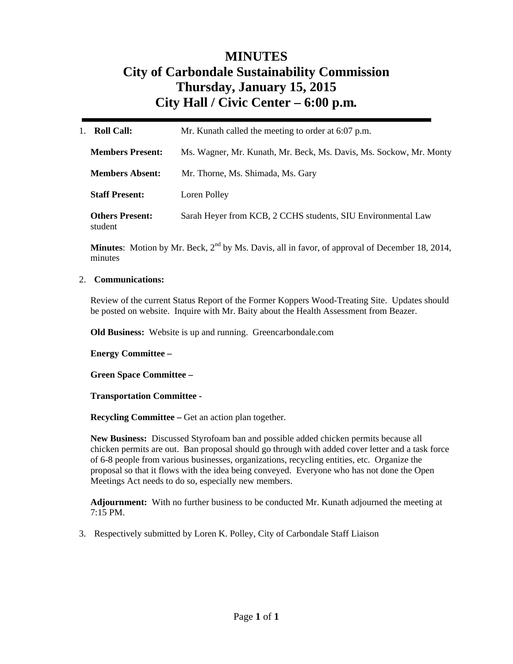## **MINUTES City of Carbondale Sustainability Commission Thursday, January 15, 2015 City Hall / Civic Center – 6:00 p.m***.*

| <b>Roll Call:</b>                 | Mr. Kunath called the meeting to order at 6:07 p.m.                |
|-----------------------------------|--------------------------------------------------------------------|
| <b>Members Present:</b>           | Ms. Wagner, Mr. Kunath, Mr. Beck, Ms. Davis, Ms. Sockow, Mr. Monty |
| <b>Members Absent:</b>            | Mr. Thorne, Ms. Shimada, Ms. Gary                                  |
| <b>Staff Present:</b>             | Loren Polley                                                       |
| <b>Others Present:</b><br>student | Sarah Heyer from KCB, 2 CCHS students, SIU Environmental Law       |

**Minutes**: Motion by Mr. Beck, 2<sup>nd</sup> by Ms. Davis, all in favor, of approval of December 18, 2014, minutes

#### 2. **Communications:**

Review of the current Status Report of the Former Koppers Wood-Treating Site. Updates should be posted on website. Inquire with Mr. Baity about the Health Assessment from Beazer.

**Old Business:** Website is up and running. Greencarbondale.com

**Energy Committee –** 

**Green Space Committee –** 

**Transportation Committee -** 

**Recycling Committee – Get an action plan together.** 

**New Business:** Discussed Styrofoam ban and possible added chicken permits because all chicken permits are out. Ban proposal should go through with added cover letter and a task force of 6-8 people from various businesses, organizations, recycling entities, etc. Organize the proposal so that it flows with the idea being conveyed. Everyone who has not done the Open Meetings Act needs to do so, especially new members.

**Adjournment:** With no further business to be conducted Mr. Kunath adjourned the meeting at 7:15 PM.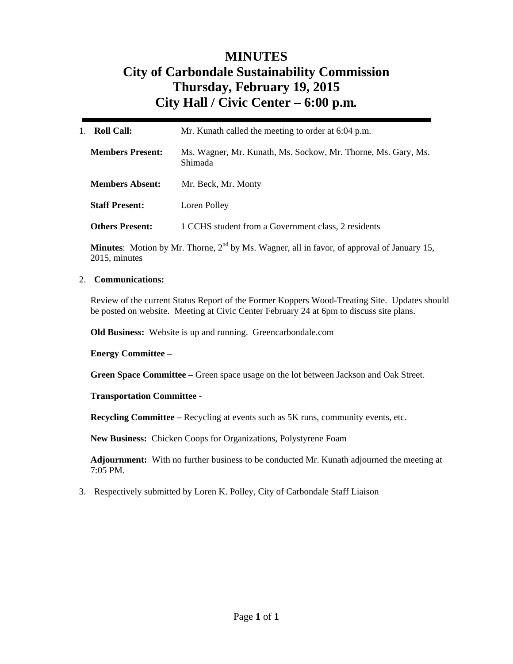## **MINUTES City of Carbondale Sustainability Commission Thursday, February 19, 2015 City Hall / Civic Center – 6:00 p.m***.*

| Mr. Kunath called the meeting to order at 6:04 p.m.                      |  |
|--------------------------------------------------------------------------|--|
| Ms. Wagner, Mr. Kunath, Ms. Sockow, Mr. Thorne, Ms. Gary, Ms.<br>Shimada |  |
| Mr. Beck, Mr. Monty                                                      |  |
| Loren Polley                                                             |  |
| 1 CCHS student from a Government class, 2 residents                      |  |
|                                                                          |  |

**Minutes**: Motion by Mr. Thorne, 2<sup>nd</sup> by Ms. Wagner, all in favor, of approval of January 15, 2015, minutes

#### 2. **Communications:**

Review of the current Status Report of the Former Koppers Wood-Treating Site. Updates should be posted on website. Meeting at Civic Center February 24 at 6pm to discuss site plans.

**Old Business:** Website is up and running. Greencarbondale.com

**Energy Committee –** 

**Green Space Committee –** Green space usage on the lot between Jackson and Oak Street.

#### **Transportation Committee -**

**Recycling Committee –** Recycling at events such as 5K runs, community events, etc.

**New Business:** Chicken Coops for Organizations, Polystyrene Foam

**Adjournment:** With no further business to be conducted Mr. Kunath adjourned the meeting at 7:05 PM.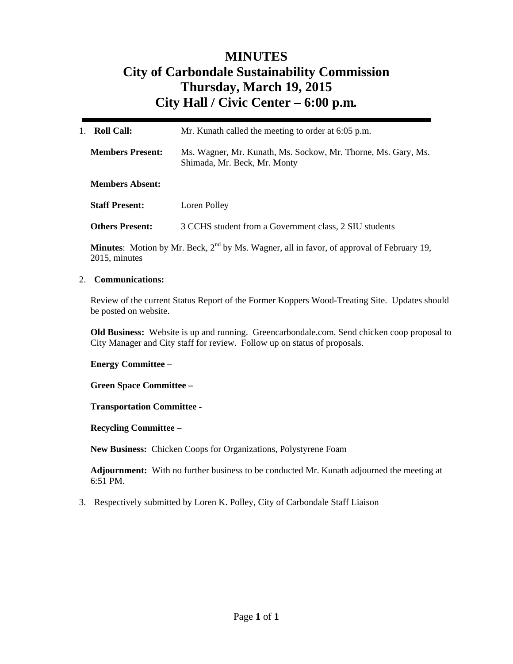## **MINUTES City of Carbondale Sustainability Commission Thursday, March 19, 2015 City Hall / Civic Center – 6:00 p.m***.*

| <b>Roll Call:</b><br>1.                                 |                        | Mr. Kunath called the meeting to order at 6:05 p.m.                                                            |  |
|---------------------------------------------------------|------------------------|----------------------------------------------------------------------------------------------------------------|--|
| <b>Members Present:</b><br>Shimada, Mr. Beck, Mr. Monty |                        | Ms. Wagner, Mr. Kunath, Ms. Sockow, Mr. Thorne, Ms. Gary, Ms.                                                  |  |
|                                                         | <b>Members Absent:</b> |                                                                                                                |  |
| <b>Staff Present:</b><br>Loren Polley                   |                        |                                                                                                                |  |
|                                                         | <b>Others Present:</b> | 3 CCHS student from a Government class, 2 SIU students                                                         |  |
|                                                         |                        | randa de la construcción de la construcción de la construcción de la construcción de la construcción de la con |  |

**Minutes**: Motion by Mr. Beck, 2<sup>nd</sup> by Ms. Wagner, all in favor, of approval of February 19, 2015, minutes

#### 2. **Communications:**

Review of the current Status Report of the Former Koppers Wood-Treating Site. Updates should be posted on website.

**Old Business:** Website is up and running. Greencarbondale.com. Send chicken coop proposal to City Manager and City staff for review. Follow up on status of proposals.

#### **Energy Committee –**

**Green Space Committee –** 

**Transportation Committee -** 

**Recycling Committee –** 

**New Business:** Chicken Coops for Organizations, Polystyrene Foam

**Adjournment:** With no further business to be conducted Mr. Kunath adjourned the meeting at 6:51 PM.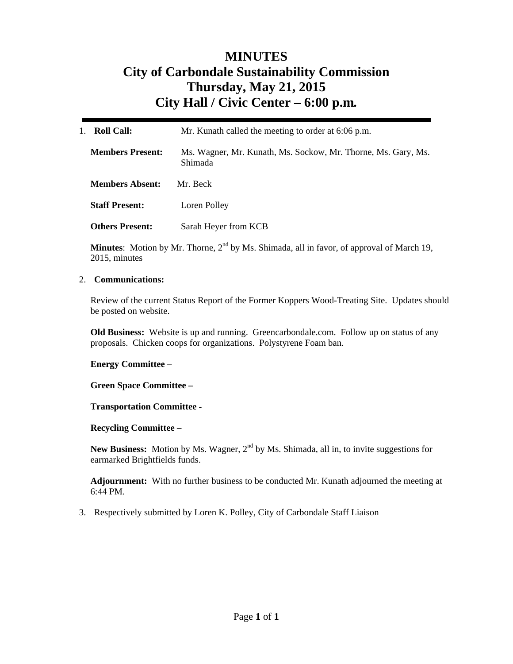## **MINUTES City of Carbondale Sustainability Commission Thursday, May 21, 2015 City Hall / Civic Center – 6:00 p.m***.*

| <b>Roll Call:</b><br>$1_{-}$ | Mr. Kunath called the meeting to order at 6:06 p.m.                             |  |
|------------------------------|---------------------------------------------------------------------------------|--|
| <b>Members Present:</b>      | Ms. Wagner, Mr. Kunath, Ms. Sockow, Mr. Thorne, Ms. Gary, Ms.<br><b>Shimada</b> |  |
| <b>Members Absent:</b>       | Mr. Beck                                                                        |  |
| <b>Staff Present:</b>        | Loren Polley                                                                    |  |
| <b>Others Present:</b>       | Sarah Heyer from KCB                                                            |  |

**Minutes**: Motion by Mr. Thorne, 2<sup>nd</sup> by Ms. Shimada, all in favor, of approval of March 19, 2015, minutes

#### 2. **Communications:**

Review of the current Status Report of the Former Koppers Wood-Treating Site. Updates should be posted on website.

**Old Business:** Website is up and running. Greencarbondale.com. Follow up on status of any proposals. Chicken coops for organizations. Polystyrene Foam ban.

#### **Energy Committee –**

**Green Space Committee –** 

#### **Transportation Committee -**

**Recycling Committee –** 

New Business: Motion by Ms. Wagner, 2<sup>nd</sup> by Ms. Shimada, all in, to invite suggestions for earmarked Brightfields funds.

**Adjournment:** With no further business to be conducted Mr. Kunath adjourned the meeting at 6:44 PM.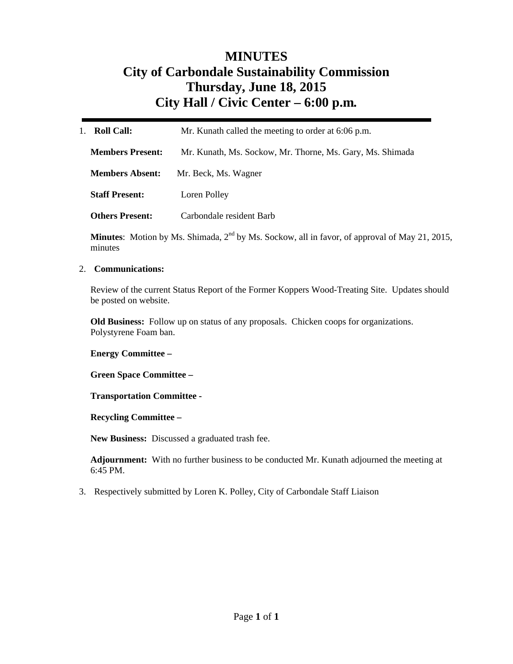## **MINUTES City of Carbondale Sustainability Commission Thursday, June 18, 2015 City Hall / Civic Center – 6:00 p.m***.*

| Roll Call:<br>$1_{-}$   | Mr. Kunath called the meeting to order at 6:06 p.m.       |  |
|-------------------------|-----------------------------------------------------------|--|
| <b>Members Present:</b> | Mr. Kunath, Ms. Sockow, Mr. Thorne, Ms. Gary, Ms. Shimada |  |
| <b>Members Absent:</b>  | Mr. Beck, Ms. Wagner                                      |  |
| <b>Staff Present:</b>   | Loren Polley                                              |  |
| <b>Others Present:</b>  | Carbondale resident Barb                                  |  |

Minutes: Motion by Ms. Shimada, 2<sup>nd</sup> by Ms. Sockow, all in favor, of approval of May 21, 2015, minutes

#### 2. **Communications:**

Review of the current Status Report of the Former Koppers Wood-Treating Site. Updates should be posted on website.

**Old Business:** Follow up on status of any proposals. Chicken coops for organizations. Polystyrene Foam ban.

**Energy Committee –** 

**Green Space Committee –** 

**Transportation Committee -** 

**Recycling Committee –** 

**New Business:** Discussed a graduated trash fee.

**Adjournment:** With no further business to be conducted Mr. Kunath adjourned the meeting at 6:45 PM.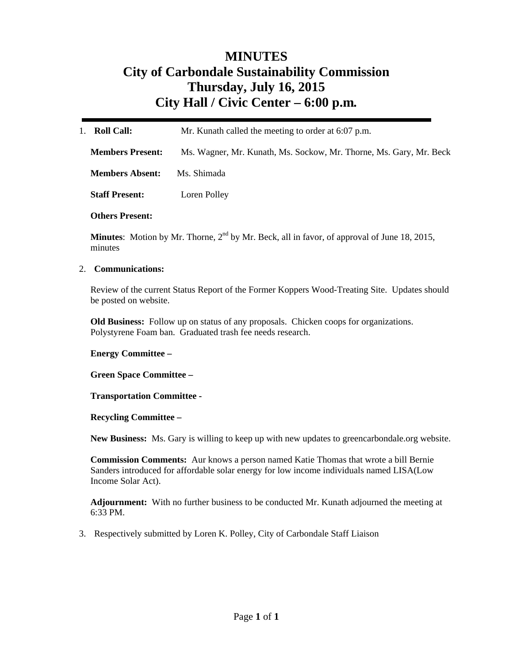## **MINUTES City of Carbondale Sustainability Commission Thursday, July 16, 2015 City Hall / Civic Center – 6:00 p.m***.*

| <b>Roll Call:</b>       | Mr. Kunath called the meeting to order at 6:07 p.m.                |  |
|-------------------------|--------------------------------------------------------------------|--|
| <b>Members Present:</b> | Ms. Wagner, Mr. Kunath, Ms. Sockow, Mr. Thorne, Ms. Gary, Mr. Beck |  |
| <b>Members Absent:</b>  | Ms. Shimada                                                        |  |
| <b>Staff Present:</b>   | Loren Polley                                                       |  |
|                         |                                                                    |  |

**Others Present:** 

**Minutes**: Motion by Mr. Thorne, 2<sup>nd</sup> by Mr. Beck, all in favor, of approval of June 18, 2015, minutes

#### 2. **Communications:**

Review of the current Status Report of the Former Koppers Wood-Treating Site. Updates should be posted on website.

**Old Business:** Follow up on status of any proposals. Chicken coops for organizations. Polystyrene Foam ban. Graduated trash fee needs research.

**Energy Committee –** 

**Green Space Committee –** 

**Transportation Committee -** 

**Recycling Committee –** 

**New Business:** Ms. Gary is willing to keep up with new updates to greencarbondale.org website.

**Commission Comments:** Aur knows a person named Katie Thomas that wrote a bill Bernie Sanders introduced for affordable solar energy for low income individuals named LISA(Low Income Solar Act).

**Adjournment:** With no further business to be conducted Mr. Kunath adjourned the meeting at 6:33 PM.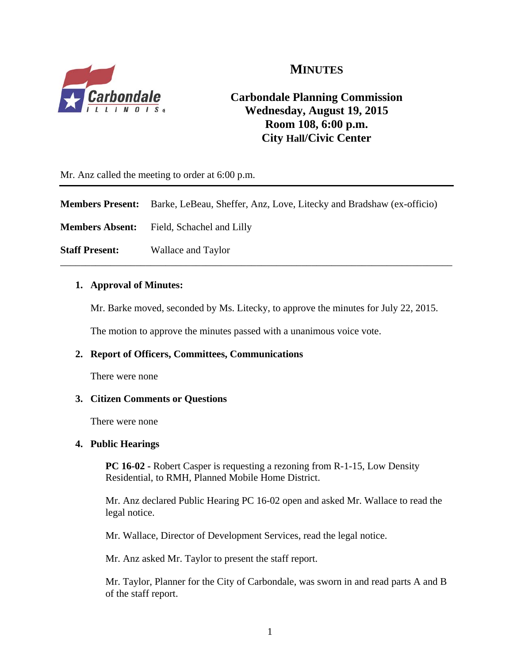

## **MINUTES**

## **Carbondale Planning Commission Wednesday, August 19, 2015 Room 108, 6:00 p.m. City Hall/Civic Center**

Mr. Anz called the meeting to order at 6:00 p.m.

|                       | <b>Members Present:</b> Barke, LeBeau, Sheffer, Anz, Love, Litecky and Bradshaw (ex-officio) |
|-----------------------|----------------------------------------------------------------------------------------------|
|                       | <b>Members Absent:</b> Field, Schachel and Lilly                                             |
| <b>Staff Present:</b> | Wallace and Taylor                                                                           |

#### **1. Approval of Minutes:**

Mr. Barke moved, seconded by Ms. Litecky, to approve the minutes for July 22, 2015.

The motion to approve the minutes passed with a unanimous voice vote.

#### **2. Report of Officers, Committees, Communications**

There were none

#### **3. Citizen Comments or Questions**

There were none

#### **4. Public Hearings**

**PC 16-02 - Robert Casper is requesting a rezoning from R-1-15, Low Density** Residential, to RMH, Planned Mobile Home District.

Mr. Anz declared Public Hearing PC 16-02 open and asked Mr. Wallace to read the legal notice.

Mr. Wallace, Director of Development Services, read the legal notice.

Mr. Anz asked Mr. Taylor to present the staff report.

Mr. Taylor, Planner for the City of Carbondale, was sworn in and read parts A and B of the staff report.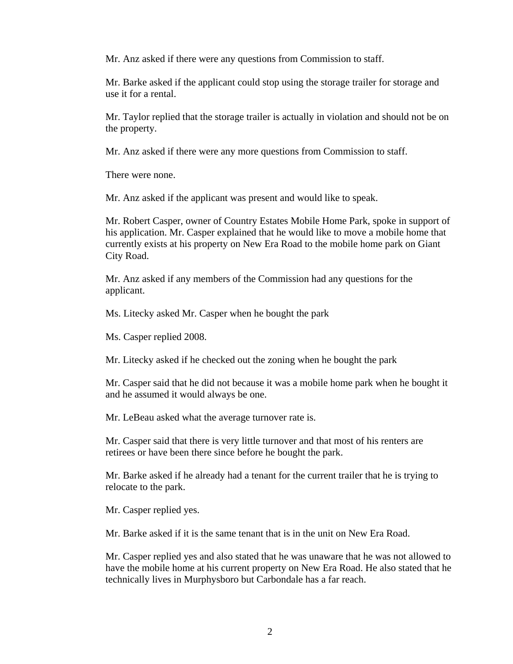Mr. Anz asked if there were any questions from Commission to staff.

Mr. Barke asked if the applicant could stop using the storage trailer for storage and use it for a rental.

Mr. Taylor replied that the storage trailer is actually in violation and should not be on the property.

Mr. Anz asked if there were any more questions from Commission to staff.

There were none.

Mr. Anz asked if the applicant was present and would like to speak.

Mr. Robert Casper, owner of Country Estates Mobile Home Park, spoke in support of his application. Mr. Casper explained that he would like to move a mobile home that currently exists at his property on New Era Road to the mobile home park on Giant City Road.

Mr. Anz asked if any members of the Commission had any questions for the applicant.

Ms. Litecky asked Mr. Casper when he bought the park

Ms. Casper replied 2008.

Mr. Litecky asked if he checked out the zoning when he bought the park

Mr. Casper said that he did not because it was a mobile home park when he bought it and he assumed it would always be one.

Mr. LeBeau asked what the average turnover rate is.

Mr. Casper said that there is very little turnover and that most of his renters are retirees or have been there since before he bought the park.

Mr. Barke asked if he already had a tenant for the current trailer that he is trying to relocate to the park.

Mr. Casper replied yes.

Mr. Barke asked if it is the same tenant that is in the unit on New Era Road.

Mr. Casper replied yes and also stated that he was unaware that he was not allowed to have the mobile home at his current property on New Era Road. He also stated that he technically lives in Murphysboro but Carbondale has a far reach.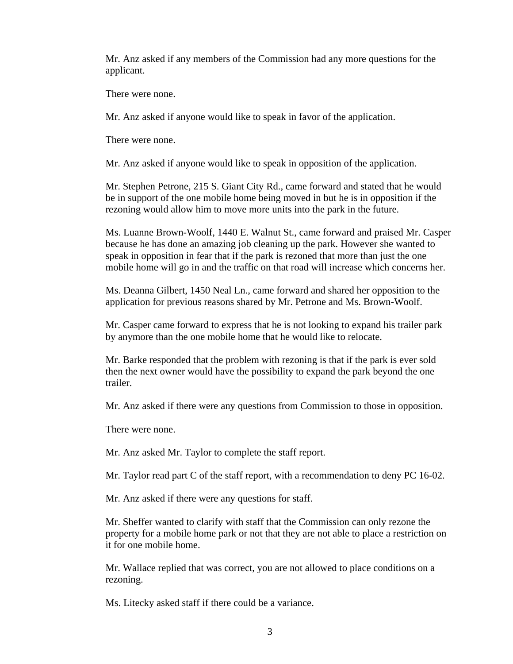Mr. Anz asked if any members of the Commission had any more questions for the applicant.

There were none.

Mr. Anz asked if anyone would like to speak in favor of the application.

There were none.

Mr. Anz asked if anyone would like to speak in opposition of the application.

Mr. Stephen Petrone, 215 S. Giant City Rd., came forward and stated that he would be in support of the one mobile home being moved in but he is in opposition if the rezoning would allow him to move more units into the park in the future.

Ms. Luanne Brown-Woolf, 1440 E. Walnut St., came forward and praised Mr. Casper because he has done an amazing job cleaning up the park. However she wanted to speak in opposition in fear that if the park is rezoned that more than just the one mobile home will go in and the traffic on that road will increase which concerns her.

Ms. Deanna Gilbert, 1450 Neal Ln., came forward and shared her opposition to the application for previous reasons shared by Mr. Petrone and Ms. Brown-Woolf.

Mr. Casper came forward to express that he is not looking to expand his trailer park by anymore than the one mobile home that he would like to relocate.

Mr. Barke responded that the problem with rezoning is that if the park is ever sold then the next owner would have the possibility to expand the park beyond the one trailer.

Mr. Anz asked if there were any questions from Commission to those in opposition.

There were none.

Mr. Anz asked Mr. Taylor to complete the staff report.

Mr. Taylor read part C of the staff report, with a recommendation to deny PC 16-02.

Mr. Anz asked if there were any questions for staff.

Mr. Sheffer wanted to clarify with staff that the Commission can only rezone the property for a mobile home park or not that they are not able to place a restriction on it for one mobile home.

Mr. Wallace replied that was correct, you are not allowed to place conditions on a rezoning.

Ms. Litecky asked staff if there could be a variance.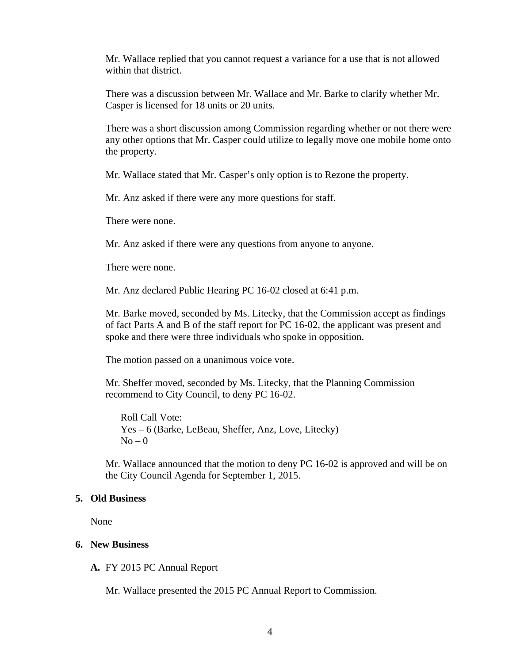Mr. Wallace replied that you cannot request a variance for a use that is not allowed within that district.

There was a discussion between Mr. Wallace and Mr. Barke to clarify whether Mr. Casper is licensed for 18 units or 20 units.

There was a short discussion among Commission regarding whether or not there were any other options that Mr. Casper could utilize to legally move one mobile home onto the property.

Mr. Wallace stated that Mr. Casper's only option is to Rezone the property.

Mr. Anz asked if there were any more questions for staff.

There were none.

Mr. Anz asked if there were any questions from anyone to anyone.

There were none.

Mr. Anz declared Public Hearing PC 16-02 closed at 6:41 p.m.

Mr. Barke moved, seconded by Ms. Litecky, that the Commission accept as findings of fact Parts A and B of the staff report for PC 16-02, the applicant was present and spoke and there were three individuals who spoke in opposition.

The motion passed on a unanimous voice vote.

Mr. Sheffer moved, seconded by Ms. Litecky, that the Planning Commission recommend to City Council, to deny PC 16-02.

Roll Call Vote: Yes – 6 (Barke, LeBeau, Sheffer, Anz, Love, Litecky)  $No - 0$ 

Mr. Wallace announced that the motion to deny PC 16-02 is approved and will be on the City Council Agenda for September 1, 2015.

#### **5. Old Business**

None

#### **6. New Business**

**A.** FY 2015 PC Annual Report

Mr. Wallace presented the 2015 PC Annual Report to Commission.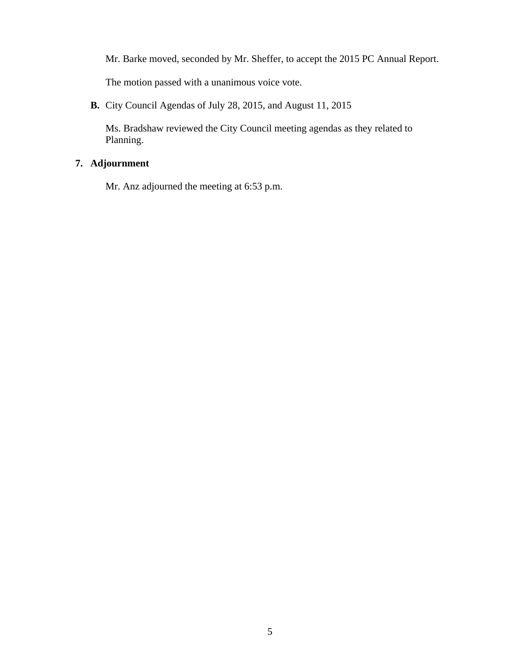Mr. Barke moved, seconded by Mr. Sheffer, to accept the 2015 PC Annual Report.

The motion passed with a unanimous voice vote.

**B.** City Council Agendas of July 28, 2015, and August 11, 2015

Ms. Bradshaw reviewed the City Council meeting agendas as they related to Planning.

### **7. Adjournment**

Mr. Anz adjourned the meeting at 6:53 p.m.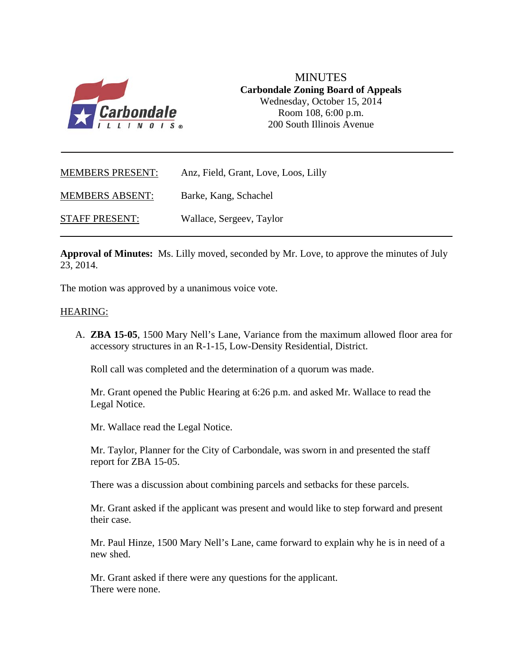

MINUTES **Carbondale Zoning Board of Appeals**  Wednesday, October 15, 2014 Room 108, 6:00 p.m. 200 South Illinois Avenue

| <b>MEMBERS PRESENT:</b> | Anz, Field, Grant, Love, Loos, Lilly |
|-------------------------|--------------------------------------|
| <b>MEMBERS ABSENT:</b>  | Barke, Kang, Schachel                |
| <b>STAFF PRESENT:</b>   | Wallace, Sergeev, Taylor             |

**Approval of Minutes:** Ms. Lilly moved, seconded by Mr. Love, to approve the minutes of July 23, 2014.

The motion was approved by a unanimous voice vote.

#### HEARING:

A. **ZBA 15-05**, 1500 Mary Nell's Lane, Variance from the maximum allowed floor area for accessory structures in an R-1-15, Low-Density Residential, District.

Roll call was completed and the determination of a quorum was made.

Mr. Grant opened the Public Hearing at 6:26 p.m. and asked Mr. Wallace to read the Legal Notice.

Mr. Wallace read the Legal Notice.

Mr. Taylor, Planner for the City of Carbondale, was sworn in and presented the staff report for ZBA 15-05.

There was a discussion about combining parcels and setbacks for these parcels.

Mr. Grant asked if the applicant was present and would like to step forward and present their case.

Mr. Paul Hinze, 1500 Mary Nell's Lane, came forward to explain why he is in need of a new shed.

Mr. Grant asked if there were any questions for the applicant. There were none.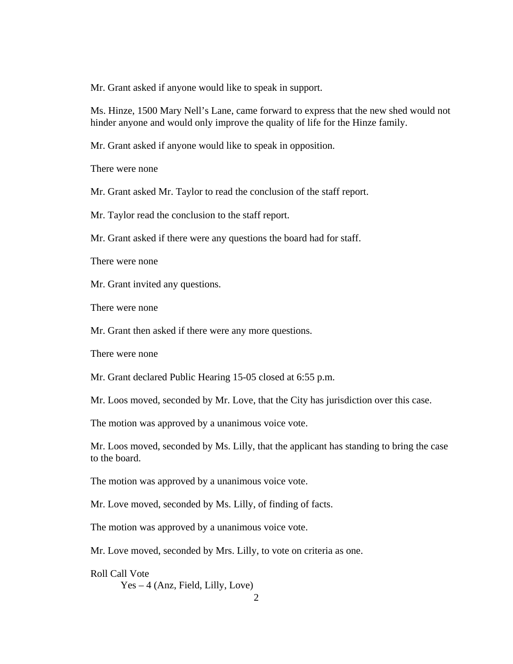Mr. Grant asked if anyone would like to speak in support.

Ms. Hinze, 1500 Mary Nell's Lane, came forward to express that the new shed would not hinder anyone and would only improve the quality of life for the Hinze family.

Mr. Grant asked if anyone would like to speak in opposition.

There were none

Mr. Grant asked Mr. Taylor to read the conclusion of the staff report.

Mr. Taylor read the conclusion to the staff report.

Mr. Grant asked if there were any questions the board had for staff.

There were none

Mr. Grant invited any questions.

There were none

Mr. Grant then asked if there were any more questions.

There were none

Mr. Grant declared Public Hearing 15-05 closed at 6:55 p.m.

Mr. Loos moved, seconded by Mr. Love, that the City has jurisdiction over this case.

The motion was approved by a unanimous voice vote.

Mr. Loos moved, seconded by Ms. Lilly, that the applicant has standing to bring the case to the board.

The motion was approved by a unanimous voice vote.

Mr. Love moved, seconded by Ms. Lilly, of finding of facts.

The motion was approved by a unanimous voice vote.

Mr. Love moved, seconded by Mrs. Lilly, to vote on criteria as one.

Roll Call Vote Yes – 4 (Anz, Field, Lilly, Love)